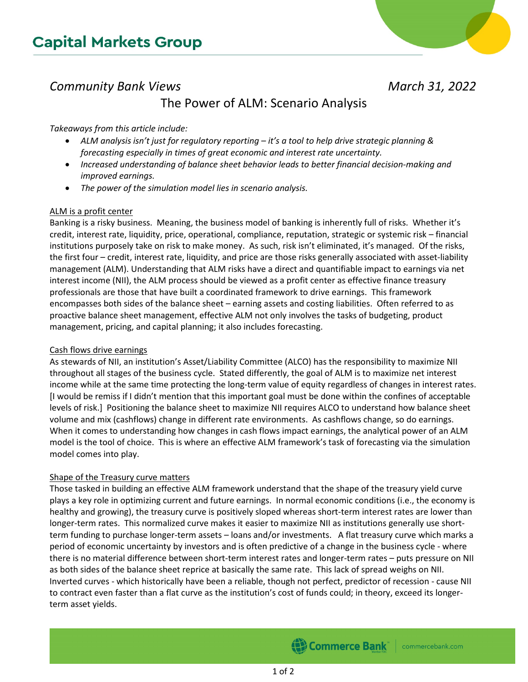# *Community Bank Views March 31, 2022*

## The Power of ALM: Scenario Analysis

### *Takeaways from this article include:*

- *ALM analysis isn't just for regulatory reporting it's a tool to help drive strategic planning & forecasting especially in times of great economic and interest rate uncertainty.*
- *Increased understanding of balance sheet behavior leads to better financial decision-making and improved earnings.*
- *The power of the simulation model lies in scenario analysis.*

### ALM is a profit center

Banking is a risky business. Meaning, the business model of banking is inherently full of risks. Whether it's credit, interest rate, liquidity, price, operational, compliance, reputation, strategic or systemic risk – financial institutions purposely take on risk to make money. As such, risk isn't eliminated, it's managed. Of the risks, the first four – credit, interest rate, liquidity, and price are those risks generally associated with asset-liability management (ALM). Understanding that ALM risks have a direct and quantifiable impact to earnings via net interest income (NII), the ALM process should be viewed as a profit center as effective finance treasury professionals are those that have built a coordinated framework to drive earnings. This framework encompasses both sides of the balance sheet – earning assets and costing liabilities. Often referred to as proactive balance sheet management, effective ALM not only involves the tasks of budgeting, product management, pricing, and capital planning; it also includes forecasting.

### Cash flows drive earnings

As stewards of NII, an institution's Asset/Liability Committee (ALCO) has the responsibility to maximize NII throughout all stages of the business cycle. Stated differently, the goal of ALM is to maximize net interest income while at the same time protecting the long-term value of equity regardless of changes in interest rates. [I would be remiss if I didn't mention that this important goal must be done within the confines of acceptable levels of risk.] Positioning the balance sheet to maximize NII requires ALCO to understand how balance sheet volume and mix (cashflows) change in different rate environments. As cashflows change, so do earnings. When it comes to understanding how changes in cash flows impact earnings, the analytical power of an ALM model is the tool of choice. This is where an effective ALM framework's task of forecasting via the simulation model comes into play.

### Shape of the Treasury curve matters

Those tasked in building an effective ALM framework understand that the shape of the treasury yield curve plays a key role in optimizing current and future earnings. In normal economic conditions (i.e., the economy is healthy and growing), the treasury curve is positively sloped whereas short-term interest rates are lower than longer-term rates. This normalized curve makes it easier to maximize NII as institutions generally use shortterm funding to purchase longer-term assets – loans and/or investments. A flat treasury curve which marks a period of economic uncertainty by investors and is often predictive of a change in the business cycle - where there is no material difference between short-term interest rates and longer-term rates – puts pressure on NII as both sides of the balance sheet reprice at basically the same rate. This lack of spread weighs on NII. Inverted curves - which historically have been a reliable, though not perfect, predictor of recession - cause NII to contract even faster than a flat curve as the institution's cost of funds could; in theory, exceed its longerterm asset yields.

Commerce Bank

commercebank.com